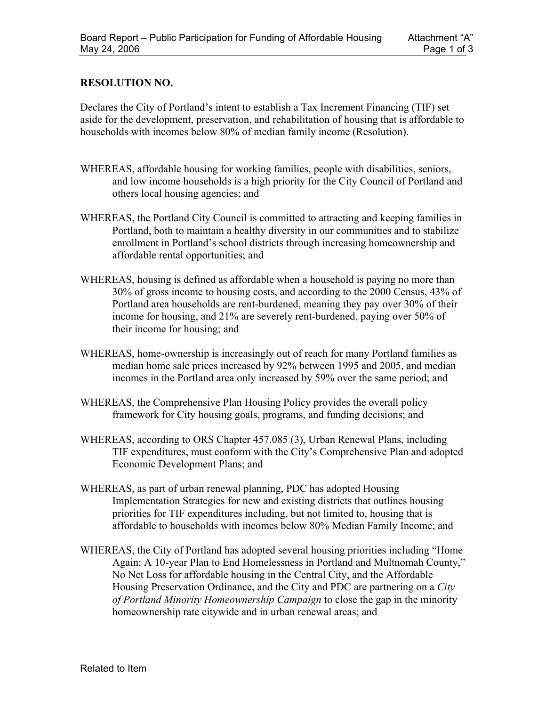## **RESOLUTION NO.**

Declares the City of Portland's intent to establish a Tax Increment Financing (TIF) set aside for the development, preservation, and rehabilitation of housing that is affordable to households with incomes below 80% of median family income (Resolution).

- WHEREAS, affordable housing for working families, people with disabilities, seniors, and low income households is a high priority for the City Council of Portland and others local housing agencies; and
- WHEREAS, the Portland City Council is committed to attracting and keeping families in Portland, both to maintain a healthy diversity in our communities and to stabilize enrollment in Portland's school districts through increasing homeownership and affordable rental opportunities; and
- WHEREAS, housing is defined as affordable when a household is paying no more than 30% of gross income to housing costs, and according to the 2000 Census, 43% of Portland area households are rent-burdened, meaning they pay over 30% of their income for housing, and 21% are severely rent-burdened, paying over 50% of their income for housing; and
- WHEREAS, home-ownership is increasingly out of reach for many Portland families as median home sale prices increased by 92% between 1995 and 2005, and median incomes in the Portland area only increased by 59% over the same period; and
- WHEREAS, the Comprehensive Plan Housing Policy provides the overall policy framework for City housing goals, programs, and funding decisions; and
- WHEREAS, according to ORS Chapter 457.085 (3), Urban Renewal Plans, including TIF expenditures, must conform with the City's Comprehensive Plan and adopted Economic Development Plans; and
- WHEREAS, as part of urban renewal planning, PDC has adopted Housing Implementation Strategies for new and existing districts that outlines housing priorities for TIF expenditures including, but not limited to, housing that is affordable to households with incomes below 80% Median Family Income; and
- WHEREAS, the City of Portland has adopted several housing priorities including "Home Again: A 10-year Plan to End Homelessness in Portland and Multnomah County," No Net Loss for affordable housing in the Central City, and the Affordable Housing Preservation Ordinance, and the City and PDC are partnering on a *City of Portland Minority Homeownership Campaign* to close the gap in the minority homeownership rate citywide and in urban renewal areas; and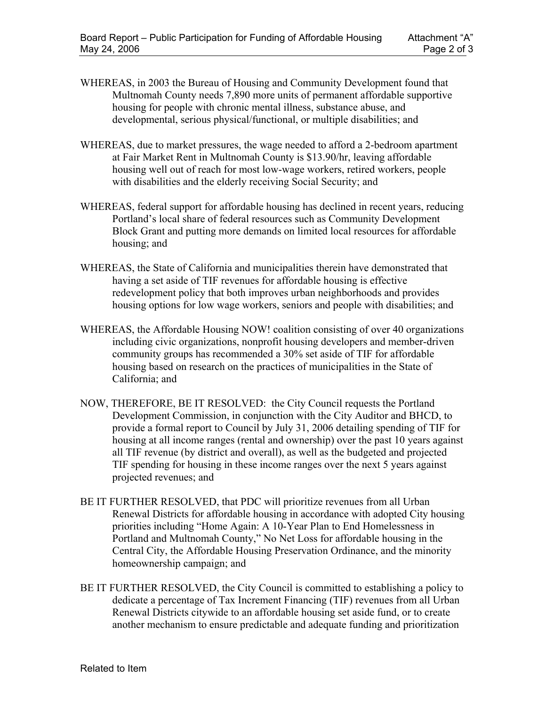- WHEREAS, in 2003 the Bureau of Housing and Community Development found that Multnomah County needs 7,890 more units of permanent affordable supportive housing for people with chronic mental illness, substance abuse, and developmental, serious physical/functional, or multiple disabilities; and
- WHEREAS, due to market pressures, the wage needed to afford a 2-bedroom apartment at Fair Market Rent in Multnomah County is \$13.90/hr, leaving affordable housing well out of reach for most low-wage workers, retired workers, people with disabilities and the elderly receiving Social Security; and
- WHEREAS, federal support for affordable housing has declined in recent years, reducing Portland's local share of federal resources such as Community Development Block Grant and putting more demands on limited local resources for affordable housing; and
- WHEREAS, the State of California and municipalities therein have demonstrated that having a set aside of TIF revenues for affordable housing is effective redevelopment policy that both improves urban neighborhoods and provides housing options for low wage workers, seniors and people with disabilities; and
- WHEREAS, the Affordable Housing NOW! coalition consisting of over 40 organizations including civic organizations, nonprofit housing developers and member-driven community groups has recommended a 30% set aside of TIF for affordable housing based on research on the practices of municipalities in the State of California; and
- NOW, THEREFORE, BE IT RESOLVED: the City Council requests the Portland Development Commission, in conjunction with the City Auditor and BHCD, to provide a formal report to Council by July 31, 2006 detailing spending of TIF for housing at all income ranges (rental and ownership) over the past 10 years against all TIF revenue (by district and overall), as well as the budgeted and projected TIF spending for housing in these income ranges over the next 5 years against projected revenues; and
- BE IT FURTHER RESOLVED, that PDC will prioritize revenues from all Urban Renewal Districts for affordable housing in accordance with adopted City housing priorities including "Home Again: A 10-Year Plan to End Homelessness in Portland and Multnomah County," No Net Loss for affordable housing in the Central City, the Affordable Housing Preservation Ordinance, and the minority homeownership campaign; and
- BE IT FURTHER RESOLVED, the City Council is committed to establishing a policy to dedicate a percentage of Tax Increment Financing (TIF) revenues from all Urban Renewal Districts citywide to an affordable housing set aside fund, or to create another mechanism to ensure predictable and adequate funding and prioritization